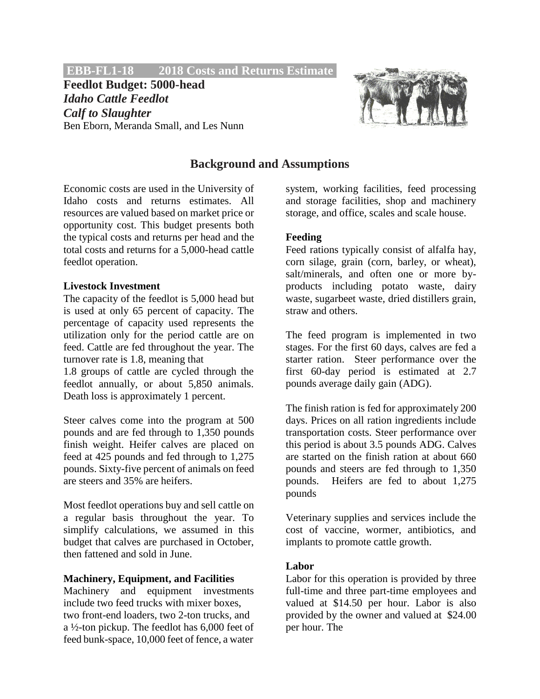## **EBB-FL1-18 2018 Costs and Returns Estimate.**

**Feedlot Budget: 5000-head** *Idaho Cattle Feedlot Calf to Slaughter* Ben Eborn, Meranda Small, and Les Nunn



# **Background and Assumptions**

Economic costs are used in the University of Idaho costs and returns estimates. All resources are valued based on market price or opportunity cost. This budget presents both the typical costs and returns per head and the total costs and returns for a 5,000-head cattle feedlot operation.

### **Livestock Investment**

The capacity of the feedlot is 5,000 head but is used at only 65 percent of capacity. The percentage of capacity used represents the utilization only for the period cattle are on feed. Cattle are fed throughout the year. The turnover rate is 1.8, meaning that

1.8 groups of cattle are cycled through the feedlot annually, or about 5,850 animals. Death loss is approximately 1 percent.

Steer calves come into the program at 500 pounds and are fed through to 1,350 pounds finish weight. Heifer calves are placed on feed at 425 pounds and fed through to 1,275 pounds. Sixty-five percent of animals on feed are steers and 35% are heifers.

Most feedlot operations buy and sell cattle on a regular basis throughout the year. To simplify calculations, we assumed in this budget that calves are purchased in October, then fattened and sold in June.

### **Machinery, Equipment, and Facilities**

Machinery and equipment investments include two feed trucks with mixer boxes, two front-end loaders, two 2-ton trucks, and a ½-ton pickup. The feedlot has 6,000 feet of feed bunk-space, 10,000 feet of fence, a water

system, working facilities, feed processing and storage facilities, shop and machinery storage, and office, scales and scale house.

# **Feeding**

Feed rations typically consist of alfalfa hay, corn silage, grain (corn, barley, or wheat), salt/minerals, and often one or more byproducts including potato waste, dairy waste, sugarbeet waste, dried distillers grain, straw and others.

The feed program is implemented in two stages. For the first 60 days, calves are fed a starter ration. Steer performance over the first 60-day period is estimated at 2.7 pounds average daily gain (ADG).

The finish ration is fed for approximately 200 days. Prices on all ration ingredients include transportation costs. Steer performance over this period is about 3.5 pounds ADG. Calves are started on the finish ration at about 660 pounds and steers are fed through to 1,350 pounds. Heifers are fed to about 1,275 pounds

Veterinary supplies and services include the cost of vaccine, wormer, antibiotics, and implants to promote cattle growth.

# **Labor**

Labor for this operation is provided by three full-time and three part-time employees and valued at \$14.50 per hour. Labor is also provided by the owner and valued at \$24.00 per hour. The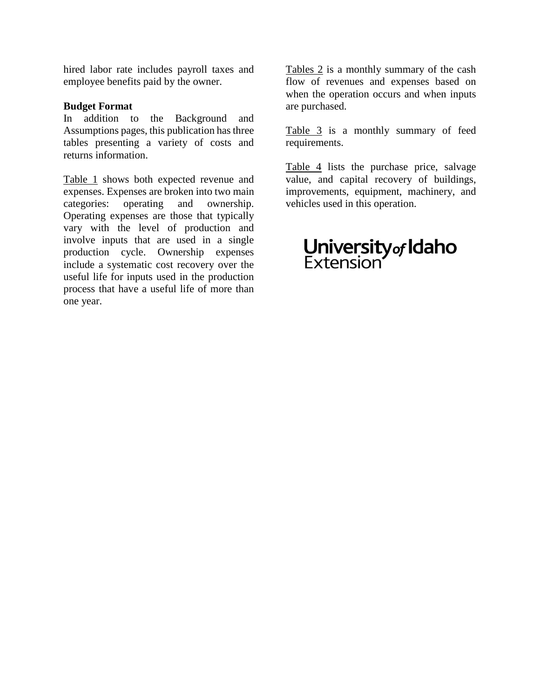hired labor rate includes payroll taxes and employee benefits paid by the owner.

### **Budget Format**

In addition to the Background and Assumptions pages, this publication has three tables presenting a variety of costs and returns information.

Table 1 shows both expected revenue and expenses. Expenses are broken into two main categories: operating and ownership. Operating expenses are those that typically vary with the level of production and involve inputs that are used in a single production cycle. Ownership expenses include a systematic cost recovery over the useful life for inputs used in the production process that have a useful life of more than one year.

Tables 2 is a monthly summary of the cash flow of revenues and expenses based on when the operation occurs and when inputs are purchased.

Table 3 is a monthly summary of feed requirements.

Table 4 lists the purchase price, salvage value, and capital recovery of buildings, improvements, equipment, machinery, and vehicles used in this operation.

# **University<sub>of</sub> Idaho**<br>Extension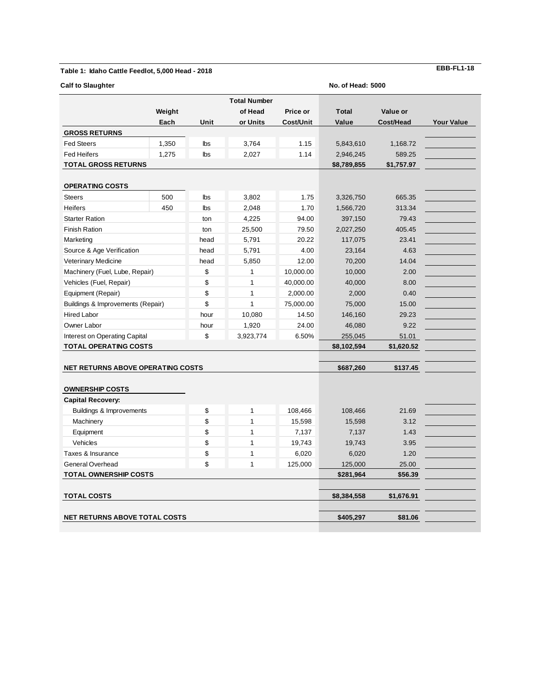#### **Table 1: Idaho Cattle Feedlot, 5,000 Head - 2018**

| <b>Calf to Slaughter</b>                 | <b>No. of Head: 5000</b>          |            |                     |                  |                |            |                   |  |
|------------------------------------------|-----------------------------------|------------|---------------------|------------------|----------------|------------|-------------------|--|
|                                          |                                   |            | <b>Total Number</b> |                  |                |            |                   |  |
|                                          | Weight                            |            | of Head             | Price or         | <b>Total</b>   | Value or   |                   |  |
|                                          | Each                              | Unit       | or Units            | <b>Cost/Unit</b> | Value          | Cost/Head  | <b>Your Value</b> |  |
| <b>GROSS RETURNS</b>                     |                                   |            |                     |                  |                |            |                   |  |
| <b>Fed Steers</b>                        | 1,350                             | lbs        | 3,764               | 1.15             | 5,843,610      | 1,168.72   |                   |  |
| <b>Fed Heifers</b>                       | 1,275                             | <b>lbs</b> | 2,027               | 1.14             | 2,946,245      | 589.25     |                   |  |
| <b>TOTAL GROSS RETURNS</b>               |                                   |            |                     |                  | \$8,789,855    | \$1,757.97 |                   |  |
| <b>OPERATING COSTS</b>                   |                                   |            |                     |                  |                |            |                   |  |
| <b>Steers</b>                            | 500                               | lbs        | 3,802               | 1.75             | 3,326,750      | 665.35     |                   |  |
| <b>Heifers</b>                           | 450                               | lbs        | 2,048               | 1.70             | 1,566,720      | 313.34     |                   |  |
| <b>Starter Ration</b>                    |                                   | ton        | 4,225               | 94.00            | 397,150        | 79.43      |                   |  |
| <b>Finish Ration</b>                     |                                   | ton        | 25,500              | 79.50            | 2,027,250      | 405.45     |                   |  |
| Marketing                                |                                   | head       | 5,791               | 20.22            | 117,075        | 23.41      |                   |  |
| Source & Age Verification                |                                   | head       | 5,791               | 4.00             | 23,164         | 4.63       |                   |  |
| Veterinary Medicine                      |                                   |            | 5,850               | 12.00            | 70,200         | 14.04      |                   |  |
| Machinery (Fuel, Lube, Repair)           |                                   |            | 1                   | 10,000.00        | 10,000<br>2.00 |            |                   |  |
| Vehicles (Fuel, Repair)                  |                                   |            | $\mathbf{1}$        | 40,000.00        | 40,000         | 8.00       |                   |  |
| Equipment (Repair)                       |                                   | \$<br>\$   | $\mathbf{1}$        | 2,000.00         | 2,000          | 0.40       |                   |  |
|                                          | Buildings & Improvements (Repair) |            | $\mathbf{1}$        | 75,000.00        | 75,000         | 15.00      |                   |  |
| <b>Hired Labor</b>                       |                                   | \$<br>hour | 10,080              | 14.50            | 146,160        | 29.23      |                   |  |
| Owner Labor                              |                                   | hour       | 1,920               | 24.00            | 46,080         | 9.22       |                   |  |
| Interest on Operating Capital            |                                   |            | 3,923,774           | 6.50%            | 255,045        | 51.01      |                   |  |
|                                          | <b>TOTAL OPERATING COSTS</b>      |            |                     |                  | \$8,102,594    | \$1,620.52 |                   |  |
|                                          |                                   |            |                     |                  |                |            |                   |  |
| <b>NET RETURNS ABOVE OPERATING COSTS</b> |                                   |            |                     |                  | \$687,260      | \$137.45   |                   |  |
| <b>OWNERSHIP COSTS</b>                   |                                   |            |                     |                  |                |            |                   |  |
| <b>Capital Recovery:</b>                 |                                   |            |                     |                  |                |            |                   |  |
| <b>Buildings &amp; Improvements</b>      |                                   | \$         | $\mathbf{1}$        | 108,466          | 108,466        | 21.69      |                   |  |
| Machinery                                |                                   | \$         | $\mathbf{1}$        | 15,598           | 15,598         | 3.12       |                   |  |
| Equipment                                |                                   | \$         | $\mathbf{1}$        | 7,137            | 7,137          | 1.43       |                   |  |
| Vehicles                                 |                                   | \$         | $\mathbf{1}$        | 19,743           | 19,743         | 3.95       |                   |  |
| Taxes & Insurance                        |                                   | \$         | $\mathbf{1}$        | 6,020            | 6,020          | 1.20       |                   |  |
| General Overhead                         |                                   | \$         | $\mathbf{1}$        | 125,000          | 125,000        | 25.00      |                   |  |
| <b>TOTAL OWNERSHIP COSTS</b>             |                                   |            |                     |                  | \$281,964      | \$56.39    |                   |  |
| <b>TOTAL COSTS</b>                       |                                   |            |                     |                  | \$8,384,558    | \$1,676.91 |                   |  |
|                                          |                                   |            |                     |                  |                |            |                   |  |
| <b>NET RETURNS ABOVE TOTAL COSTS</b>     |                                   |            |                     |                  | \$405,297      | \$81.06    |                   |  |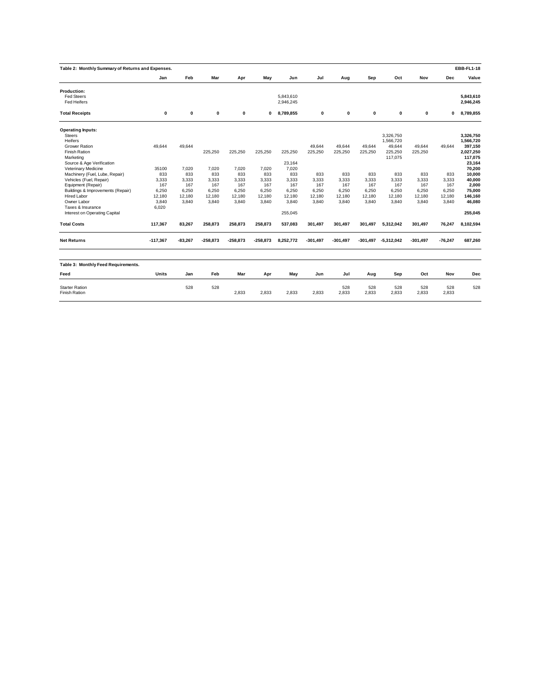| Table 2: Monthly Summary of Returns and Expenses. |             |           |            |            |            |           |            |            |            |              |            |           | <b>EBB-FL1-18</b> |
|---------------------------------------------------|-------------|-----------|------------|------------|------------|-----------|------------|------------|------------|--------------|------------|-----------|-------------------|
|                                                   | Jan         | Feb       | Mar        | Apr        | May        | Jun       | Jul        | Aug        | Sep        | Oct          | Nov        | Dec       | Value             |
| <b>Production:</b>                                |             |           |            |            |            |           |            |            |            |              |            |           |                   |
| <b>Fed Steers</b>                                 |             |           |            |            |            | 5.843.610 |            |            |            |              |            |           | 5.843.610         |
| Fed Heifers                                       |             |           |            |            |            | 2,946,245 |            |            |            |              |            |           | 2,946,245         |
| <b>Total Receipts</b>                             | $\mathbf 0$ | 0         | 0          | 0          | 0          | 8,789,855 | 0          | 0          | 0          | 0            | 0          | 0         | 8,789,855         |
| <b>Operating Inputs:</b>                          |             |           |            |            |            |           |            |            |            |              |            |           |                   |
| <b>Steers</b>                                     |             |           |            |            |            |           |            |            |            | 3,326,750    |            |           | 3,326,750         |
| Heifers                                           |             |           |            |            |            |           |            |            |            | 1.566.720    |            |           | 1.566.720         |
| <b>Grower Ration</b>                              | 49.644      | 49.644    |            |            |            |           | 49,644     | 49.644     | 49.644     | 49,644       | 49.644     | 49.644    | 397,150           |
| Finish Ration                                     |             |           | 225,250    | 225,250    | 225,250    | 225,250   | 225,250    | 225,250    | 225,250    | 225,250      | 225,250    |           | 2,027,250         |
| Marketing                                         |             |           |            |            |            |           |            |            |            | 117.075      |            |           | 117,075           |
| Source & Age Verification                         |             |           |            |            |            | 23.164    |            |            |            |              |            |           | 23,164            |
| Veterinary Medicine                               | 35100       | 7.020     | 7.020      | 7.020      | 7,020      | 7.020     |            |            |            |              |            |           | 70,200            |
| Machinery (Fuel, Lube, Repair)                    | 833         | 833       | 833        | 833        | 833        | 833       | 833        | 833        | 833        | 833          | 833        | 833       | 10.000            |
| Vehicles (Fuel, Repair)                           | 3,333       | 3,333     | 3,333      | 3,333      | 3,333      | 3,333     | 3,333      | 3,333      | 3,333      | 3,333        | 3,333      | 3,333     | 40,000            |
| Equipment (Repair)                                | 167         | 167       | 167        | 167        | 167        | 167       | 167        | 167        | 167        | 167          | 167        | 167       | 2.000             |
| Buildings & Improvements (Repair)                 | 6,250       | 6,250     | 6,250      | 6,250      | 6,250      | 6,250     | 6,250      | 6,250      | 6,250      | 6,250        | 6,250      | 6,250     | 75,000            |
| <b>Hired Labor</b>                                | 12.180      | 12,180    | 12.180     | 12,180     | 12,180     | 12.180    | 12,180     | 12,180     | 12,180     | 12.180       | 12,180     | 12,180    | 146,160           |
| Owner Labor                                       | 3.840       | 3,840     | 3.840      | 3.840      | 3,840      | 3,840     | 3,840      | 3,840      | 3,840      | 3,840        | 3,840      | 3,840     | 46,080            |
| Taxes & Insurance                                 | 6,020       |           |            |            |            |           |            |            |            |              |            |           |                   |
| Interest on Operating Capital                     |             |           |            |            |            | 255,045   |            |            |            |              |            |           | 255,045           |
| <b>Total Costs</b>                                | 117,367     | 83,267    | 258,873    | 258,873    | 258,873    | 537,083   | 301,497    | 301,497    | 301,497    | 5,312,042    | 301,497    | 76,247    | 8,102,594         |
| <b>Net Returns</b>                                | $-117,367$  | $-83,267$ | $-258,873$ | $-258,873$ | $-258,873$ | 8,252,772 | $-301,497$ | $-301,497$ | $-301.497$ | $-5,312,042$ | $-301.497$ | $-76,247$ | 687,260           |
|                                                   |             |           |            |            |            |           |            |            |            |              |            |           |                   |
| Table 3: Monthly Feed Requirements.               |             |           |            |            |            |           |            |            |            |              |            |           |                   |
| Feed                                              | Units       | Jan       | Feb        | Mar        | Apr        | May       | Jun        | Jul        | Aug        | Sep          | Oct        | Nov       | Dec               |
| <b>Starter Ration</b>                             |             | 528       | 528        |            |            |           |            | 528        | 528        | 528          | 528        | 528       | 528               |
| <b>Finish Ration</b>                              |             |           |            | 2,833      | 2,833      | 2,833     | 2,833      | 2,833      | 2,833      | 2,833        | 2,833      | 2,833     |                   |